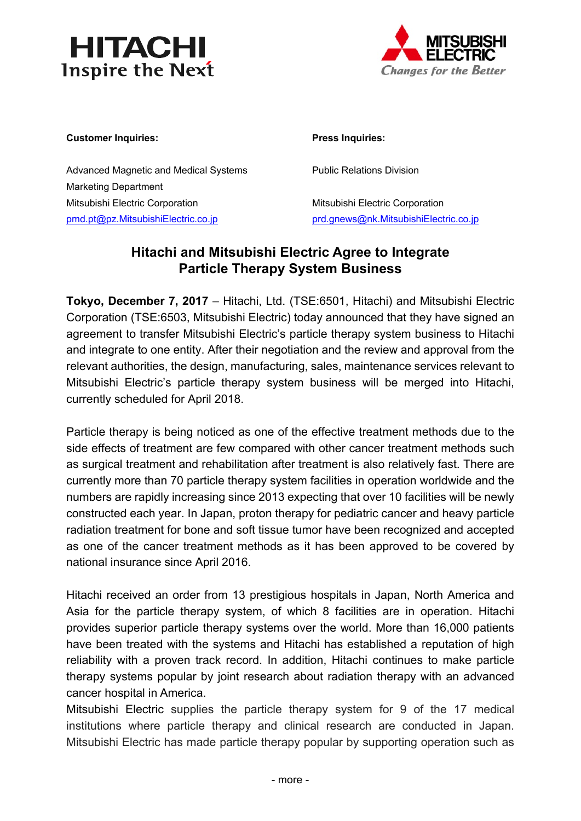



### Customer Inquiries: **Press Inquiries:**

Advanced Magnetic and Medical Systems **Public Relations Division** Marketing Department Mitsubishi Electric Corporation **Mitsubishi Electric Corporation** pmd.pt@pz.MitsubishiElectric.co.jp prd.gnews@nk.MitsubishiElectric.co.jp

# **Hitachi and Mitsubishi Electric Agree to Integrate Particle Therapy System Business**

**Tokyo, December 7, 2017** – Hitachi, Ltd. (TSE:6501, Hitachi) and Mitsubishi Electric Corporation (TSE:6503, Mitsubishi Electric) today announced that they have signed an agreement to transfer Mitsubishi Electric's particle therapy system business to Hitachi and integrate to one entity. After their negotiation and the review and approval from the relevant authorities, the design, manufacturing, sales, maintenance services relevant to Mitsubishi Electric's particle therapy system business will be merged into Hitachi, currently scheduled for April 2018.

Particle therapy is being noticed as one of the effective treatment methods due to the side effects of treatment are few compared with other cancer treatment methods such as surgical treatment and rehabilitation after treatment is also relatively fast. There are currently more than 70 particle therapy system facilities in operation worldwide and the numbers are rapidly increasing since 2013 expecting that over 10 facilities will be newly constructed each year. In Japan, proton therapy for pediatric cancer and heavy particle radiation treatment for bone and soft tissue tumor have been recognized and accepted as one of the cancer treatment methods as it has been approved to be covered by national insurance since April 2016.

Hitachi received an order from 13 prestigious hospitals in Japan, North America and Asia for the particle therapy system, of which 8 facilities are in operation. Hitachi provides superior particle therapy systems over the world. More than 16,000 patients have been treated with the systems and Hitachi has established a reputation of high reliability with a proven track record. In addition, Hitachi continues to make particle therapy systems popular by joint research about radiation therapy with an advanced cancer hospital in America.

Mitsubishi Electric supplies the particle therapy system for 9 of the 17 medical institutions where particle therapy and clinical research are conducted in Japan. Mitsubishi Electric has made particle therapy popular by supporting operation such as